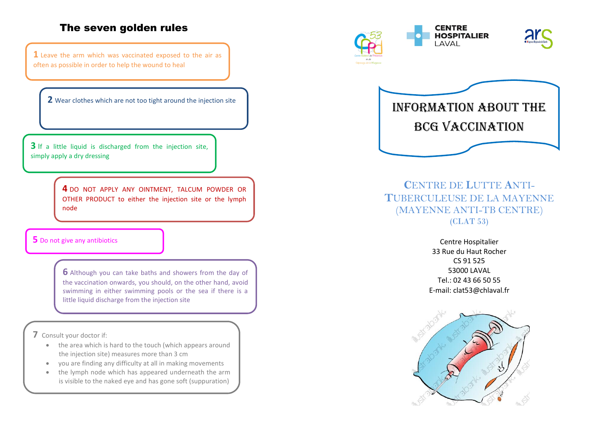## The seven golden rules

**1** Leave the arm which was vaccinated exposed to the air as often as possible in order to help the wound to heal

**2** Wear clothes which are not too tight around the injection site

**3** If a little liquid is discharged from the injection site, simply apply a dry dressing

> **4** DO NOT APPLY ANY OINTMENT, TALCUM POWDER OR OTHER PRODUCT to either the injection site or the lymph node

#### **5** Do not give any antibiotics

**6** Although you can take baths and showers from the day of the vaccination onwards, you should, on the other hand, avoid swimming in either swimming pools or the sea if there is a little liquid discharge from the injection site

**7** Consult your doctor if:

- the area which is hard to the touch (which appears around the injection site) measures more than 3 cm
- you are finding any difficulty at all in making movements
- the lymph node which has appeared underneath the arm is visible to the naked eye and has gone soft (suppuration)









# **C**ENTRE DE **L**UTTE **A**NTI-**T**UBERCULEUSE DE LA MAYENNE (MAYENNE ANTI-TB CENTRE) (CLAT 53)

Centre Hospitalier 33 Rue du Haut Rocher CS 91 525 53000 LAVAL Tel.: 02 43 66 50 55 E-mail: clat53@chlaval.fr